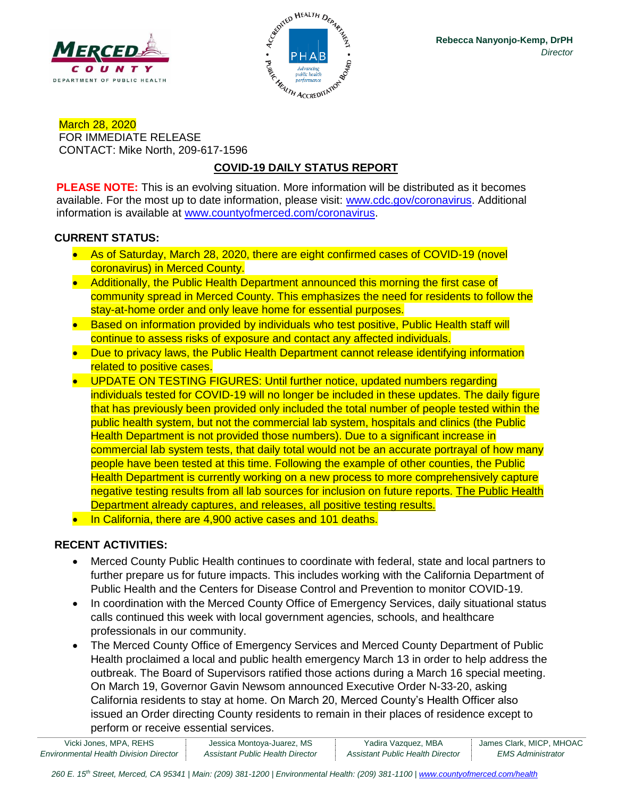



March 28, 2020 FOR IMMEDIATE RELEASE CONTACT: Mike North, 209-617-1596

# **COVID-19 DAILY STATUS REPORT**

**PLEASE NOTE:** This is an evolving situation. More information will be distributed as it becomes available. For the most up to date information, please visit: [www.cdc.gov/coronavirus.](http://www.cdc.gov/coronavirus) Additional information is available at [www.countyofmerced.com/coronavirus.](http://www.countyofmerced.com/coronavirus)

### **CURRENT STATUS:**

- As of Saturday, March 28, 2020, there are eight confirmed cases of COVID-19 (novel coronavirus) in Merced County.
- Additionally, the Public Health Department announced this morning the first case of community spread in Merced County. This emphasizes the need for residents to follow the stay-at-home order and only leave home for essential purposes.
- Based on information provided by individuals who test positive, Public Health staff will continue to assess risks of exposure and contact any affected individuals.
- Due to privacy laws, the Public Health Department cannot release identifying information related to positive cases.
- UPDATE ON TESTING FIGURES: Until further notice, updated numbers regarding individuals tested for COVID-19 will no longer be included in these updates. The daily figure that has previously been provided only included the total number of people tested within the public health system, but not the commercial lab system, hospitals and clinics (the Public Health Department is not provided those numbers). Due to a significant increase in commercial lab system tests, that daily total would not be an accurate portrayal of how many people have been tested at this time. Following the example of other counties, the Public Health Department is currently working on a new process to more comprehensively capture negative testing results from all lab sources for inclusion on future reports. The Public Health Department already captures, and releases, all positive testing results.
- In California, there are 4,900 active cases and 101 deaths.

## **RECENT ACTIVITIES:**

- Merced County Public Health continues to coordinate with federal, state and local partners to further prepare us for future impacts. This includes working with the California Department of Public Health and the Centers for Disease Control and Prevention to monitor COVID-19.
- In coordination with the Merced County Office of Emergency Services, daily situational status calls continued this week with local government agencies, schools, and healthcare professionals in our community.
- The Merced County Office of Emergency Services and Merced County Department of Public Health proclaimed a local and public health emergency March 13 in order to help address the outbreak. The Board of Supervisors ratified those actions during a March 16 special meeting. On March 19, Governor Gavin Newsom announced Executive Order N-33-20, asking California residents to stay at home. On March 20, Merced County's Health Officer also issued an Order directing County residents to remain in their places of residence except to perform or receive essential services.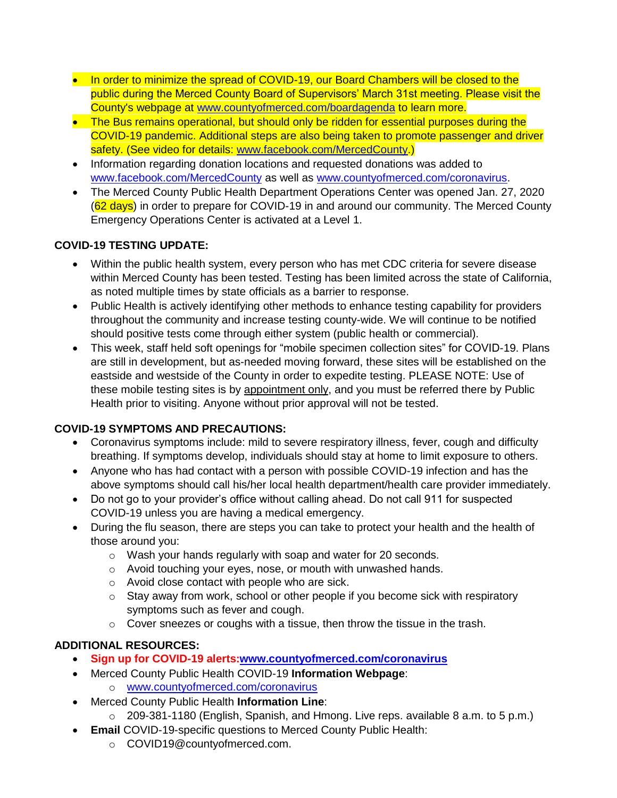- In order to minimize the spread of COVID-19, our Board Chambers will be closed to the public during the Merced County Board of Supervisors' March 31st meeting. Please visit the County's webpage at [www.countyofmerced.com/boardagenda](http://www.countyofmerced.com/boardagenda) to learn more.
- The Bus remains operational, but should only be ridden for essential purposes during the COVID-19 pandemic. Additional steps are also being taken to promote passenger and driver safety. (See video for details: [www.facebook.com/MercedCounty.](http://www.facebook.com/MercedCounty))
- Information regarding donation locations and requested donations was added to [www.facebook.com/MercedCounty](http://www.facebook.com/MercedCounty) as well as [www.countyofmerced.com/coronavirus.](http://www.countyofmerced.com/coronavirus)
- The Merced County Public Health Department Operations Center was opened Jan. 27, 2020 (62 days) in order to prepare for COVID-19 in and around our community. The Merced County Emergency Operations Center is activated at a Level 1.

## **COVID-19 TESTING UPDATE:**

- Within the public health system, every person who has met CDC criteria for severe disease within Merced County has been tested. Testing has been limited across the state of California, as noted multiple times by state officials as a barrier to response.
- Public Health is actively identifying other methods to enhance testing capability for providers throughout the community and increase testing county-wide. We will continue to be notified should positive tests come through either system (public health or commercial).
- This week, staff held soft openings for "mobile specimen collection sites" for COVID-19. Plans are still in development, but as-needed moving forward, these sites will be established on the eastside and westside of the County in order to expedite testing. PLEASE NOTE: Use of these mobile testing sites is by appointment only, and you must be referred there by Public Health prior to visiting. Anyone without prior approval will not be tested.

## **COVID-19 SYMPTOMS AND PRECAUTIONS:**

- Coronavirus symptoms include: mild to severe respiratory illness, fever, cough and difficulty breathing. If symptoms develop, individuals should stay at home to limit exposure to others.
- Anyone who has had contact with a person with possible COVID-19 infection and has the above symptoms should call his/her local health department/health care provider immediately.
- Do not go to your provider's office without calling ahead. Do not call 911 for suspected COVID-19 unless you are having a medical emergency.
- During the flu season, there are steps you can take to protect your health and the health of those around you:
	- o Wash your hands regularly with soap and water for 20 seconds.
	- o Avoid touching your eyes, nose, or mouth with unwashed hands.
	- o Avoid close contact with people who are sick.
	- $\circ$  Stay away from work, school or other people if you become sick with respiratory symptoms such as fever and cough.
	- o Cover sneezes or coughs with a tissue, then throw the tissue in the trash.

# **ADDITIONAL RESOURCES:**

- **Sign up for COVID-19 alerts[:www.countyofmerced.com/coronavirus](http://www.countyofmerced.com/coronavirus)**
- Merced County Public Health COVID-19 **Information Webpage**:
	- o [www.countyofmerced.com/coronavirus](http://www.countyofmerced.com/coronavirus)
- Merced County Public Health **Information Line**:
	- o 209-381-1180 (English, Spanish, and Hmong. Live reps. available 8 a.m. to 5 p.m.)
- **Email** COVID-19-specific questions to Merced County Public Health:
	- o COVID19@countyofmerced.com.